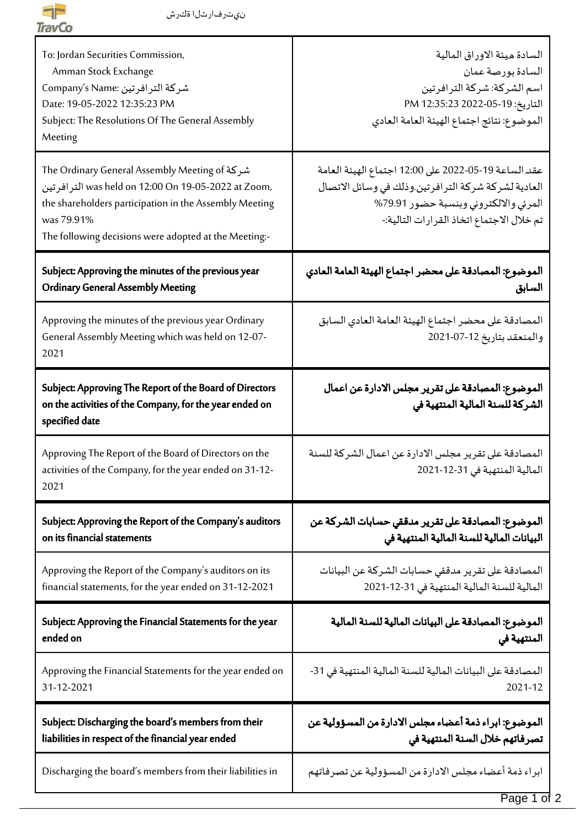

| To: Jordan Securities Commission,<br>Amman Stock Exchange<br>شركة الترافرتين :Company's Name<br>Date: 19-05-2022 12:35:23 PM<br>Subject: The Resolutions Of The General Assembly<br>Meeting                                | السادة ميئة الاوراق المالية<br>السادة بورصة عمان<br>اسم الشركة: شركة الترافرتين<br>التاريخ: 19-05-2022 PM 12:35:23<br>الموضوع: نتائج اجتماع الهيئة العامة العادي                                  |
|----------------------------------------------------------------------------------------------------------------------------------------------------------------------------------------------------------------------------|---------------------------------------------------------------------------------------------------------------------------------------------------------------------------------------------------|
| The Ordinary General Assembly Meeting of شركة<br>was held on 12:00 On 19-05-2022 at Zoom,<br>the shareholders participation in the Assembly Meeting<br>was 79.91%<br>The following decisions were adopted at the Meeting:- | عقد الساعة 19-05-2022 على 12:00 اجتماع الهيئة العامة<br>العادية لشركة شركة الترافرتين.وذلك في وسائل الاتصال<br>المرئي والالكتروني وبنسبة حضور 79.91%<br>تم خلال الاجتماع اتخاذ القرارات التالية:- |
| Subject: Approving the minutes of the previous year                                                                                                                                                                        | الموضوع: المصادقة على محضر اجتماع الهيئة العامة العادي                                                                                                                                            |
| <b>Ordinary General Assembly Meeting</b>                                                                                                                                                                                   | السابق                                                                                                                                                                                            |
| Approving the minutes of the previous year Ordinary<br>General Assembly Meeting which was held on 12-07-<br>2021                                                                                                           | المصادقة على محضر اجتماع الهيئة العامة العادي السابق<br>والمنعقد بتاريخ 12-07-2021                                                                                                                |
| Subject: Approving The Report of the Board of Directors<br>on the activities of the Company, for the year ended on<br>specified date                                                                                       | الموضوع: المصادقة على تقرير مجلس الادارة عن اعمال<br>الشركة للسنة المالية المنتهية في                                                                                                             |
| Approving The Report of the Board of Directors on the<br>activities of the Company, for the year ended on 31-12-<br>2021                                                                                                   | المصادقة على تقرير مجلس الادارة عن اعمال الشركة للسنة<br>المالية المنتهية في 31-12-2021                                                                                                           |
| Subject: Approving the Report of the Company's auditors                                                                                                                                                                    | الموضوع: المصادقة على تقرير مدققي حسابات الشركة عن                                                                                                                                                |
| on its financial statements                                                                                                                                                                                                | البيانات المالية للسنة المالية المنتهية في                                                                                                                                                        |
| Approving the Report of the Company's auditors on its                                                                                                                                                                      | المصادقة على تقرير مدققى حسابات الشركة عن البيانات                                                                                                                                                |
| financial statements, for the year ended on 31-12-2021                                                                                                                                                                     | المالية للسنة المالية المنتهية في 31-12-2021                                                                                                                                                      |
| Subject: Approving the Financial Statements for the year                                                                                                                                                                   | الموضوع: المصادقة على البيانات المالية للسنة المالية                                                                                                                                              |
| ended on                                                                                                                                                                                                                   | المنتهية في                                                                                                                                                                                       |
| Approving the Financial Statements for the year ended on                                                                                                                                                                   | المصادقة على البيانات المالية للسنة المالية المنتهية في 31-                                                                                                                                       |
| 31-12-2021                                                                                                                                                                                                                 | 2021-12                                                                                                                                                                                           |
| Subject: Discharging the board's members from their                                                                                                                                                                        | الموضوع: ابراء ذمة أعضاء مجلس الادارة من المسؤولية عن                                                                                                                                             |
| liabilities in respect of the financial year ended                                                                                                                                                                         | تصرفاتهم خلال السنة المنتهية في                                                                                                                                                                   |
| Discharging the board's members from their liabilities in                                                                                                                                                                  | ابراء ذمة أعضاء مجلس الادارة من المسؤولية عن تصرفاتهم                                                                                                                                             |